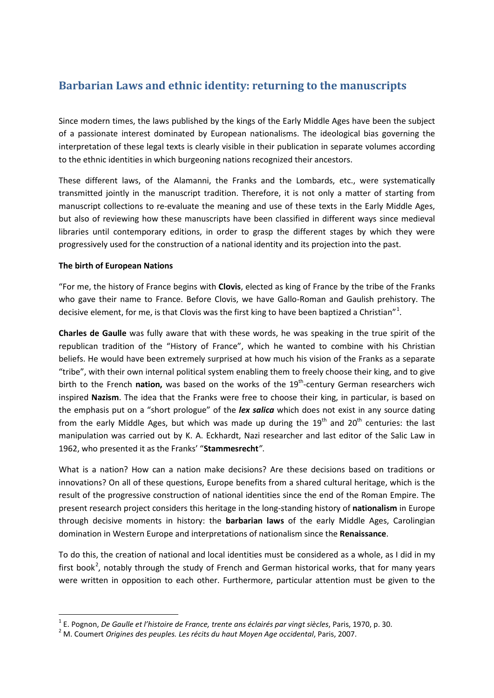# **Barbarian Laws and ethnic identity: returning to the manuscripts**

Since modern times, the laws published by the kings of the Early Middle Ages have been the subject of a passionate interest dominated by European nationalisms. The ideological bias governing the interpretation of these legal texts is clearly visible in their publication in separate volumes according to the ethnic identities in which burgeoning nations recognized their ancestors.

These different laws, of the Alamanni, the Franks and the Lombards, etc., were systematically transmitted jointly in the manuscript tradition. Therefore, it is not only a matter of starting from manuscript collections to re-evaluate the meaning and use of these texts in the Early Middle Ages, but also of reviewing how these manuscripts have been classified in different ways since medieval libraries until contemporary editions, in order to grasp the different stages by which they were progressively used for the construction of a national identity and its projection into the past.

### **The birth of European Nations**

"For me, the history of France begins with **Clovis**, elected as king of France by the tribe of the Franks who gave their name to France. Before Clovis, we have Gallo-Roman and Gaulish prehistory. The decisive element, for me, is that Clovis was the first king to have been baptized a Christian"<sup>[1](#page-0-0)</sup>.

**Charles de Gaulle** was fully aware that with these words, he was speaking in the true spirit of the republican tradition of the "History of France", which he wanted to combine with his Christian beliefs. He would have been extremely surprised at how much his vision of the Franks as a separate "tribe", with their own internal political system enabling them to freely choose their king, and to give birth to the French **nation,** was based on the works of the 19<sup>th</sup>-century German researchers wich inspired **Nazism**. The idea that the Franks were free to choose their king, in particular, is based on the emphasis put on a "short prologue" of the *lex salica* which does not exist in any source dating from the early Middle Ages, but which was made up during the  $19<sup>th</sup>$  and  $20<sup>th</sup>$  centuries: the last manipulation was carried out by K. A. Eckhardt, Nazi researcher and last editor of the Salic Law in 1962, who presented it as the Franks' "**Stammesrecht***"*.

What is a nation? How can a nation make decisions? Are these decisions based on traditions or innovations? On all of these questions, Europe benefits from a shared cultural heritage, which is the result of the progressive construction of national identities since the end of the Roman Empire. The present research project considers this heritage in the long-standing history of **nationalism** in Europe through decisive moments in history: the **barbarian laws** of the early Middle Ages, Carolingian domination in Western Europe and interpretations of nationalism since the **Renaissance**.

To do this, the creation of national and local identities must be considered as a whole, as I did in my first book<sup>[2](#page-0-1)</sup>, notably through the study of French and German historical works, that for many years were written in opposition to each other. Furthermore, particular attention must be given to the

<span id="page-0-0"></span><sup>&</sup>lt;sup>1</sup> E. Pognon, *De Gaulle et l'histoire de France, trente ans éclairés par vingt siècles*, Paris, 1970, p. 30. <sup>2</sup> M. Coumert *Origines des peuples. Les récits du haut Moyen Age occidental, Paris, 2007.* 

<span id="page-0-1"></span>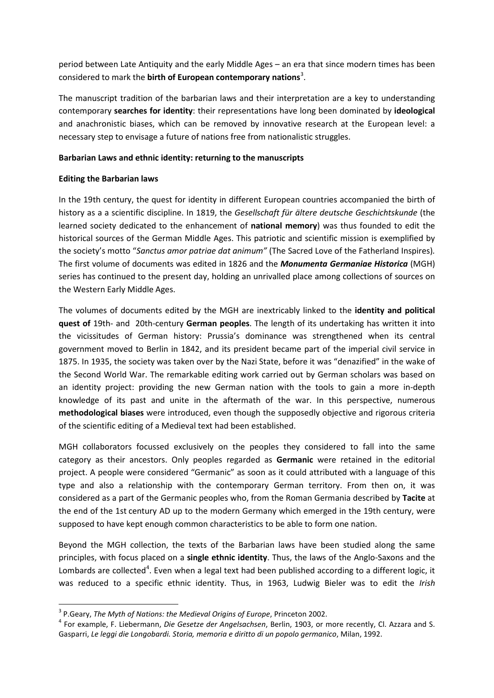period between Late Antiquity and the early Middle Ages – an era that since modern times has been considered to mark the **birth of European contemporary nations**[3](#page-1-0) .

The manuscript tradition of the barbarian laws and their interpretation are a key to understanding contemporary **searches for identity**: their representations have long been dominated by **ideological** and anachronistic biases, which can be removed by innovative research at the European level: a necessary step to envisage a future of nations free from nationalistic struggles.

### **Barbarian Laws and ethnic identity: returning to the manuscripts**

### **Editing the Barbarian laws**

In the 19th century, the quest for identity in different European countries accompanied the birth of history as a a scientific discipline. In 1819, the *Gesellschaft für ältere deutsche Geschichtskunde* (the learned society dedicated to the enhancement of **national memory**) was thus founded to edit the historical sources of the German Middle Ages. This patriotic and scientific mission is exemplified by the society's motto "*Sanctus amor patriae dat animum"* (The Sacred Love of the Fatherland Inspires)*.*  The first volume of documents was edited in 1826 and the *Monumenta Germaniae Historica* (MGH) series has continued to the present day, holding an unrivalled place among collections of sources on the Western Early Middle Ages.

The volumes of documents edited by the MGH are inextricably linked to the **identity and political quest of** 19th- and 20th-century **German peoples**. The length of its undertaking has written it into the vicissitudes of German history: Prussia's dominance was strengthened when its central government moved to Berlin in 1842, and its president became part of the imperial civil service in 1875. In 1935, the society was taken over by the Nazi State, before it was "denazified" in the wake of the Second World War. The remarkable editing work carried out by German scholars was based on an identity project: providing the new German nation with the tools to gain a more in-depth knowledge of its past and unite in the aftermath of the war. In this perspective, numerous **methodological biases** were introduced, even though the supposedly objective and rigorous criteria of the scientific editing of a Medieval text had been established.

MGH collaborators focussed exclusively on the peoples they considered to fall into the same category as their ancestors. Only peoples regarded as **Germanic** were retained in the editorial project. A people were considered "Germanic" as soon as it could attributed with a language of this type and also a relationship with the contemporary German territory. From then on, it was considered as a part of the Germanic peoples who, from the Roman Germania described by **Tacite** at the end of the 1st century AD up to the modern Germany which emerged in the 19th century, were supposed to have kept enough common characteristics to be able to form one nation.

Beyond the MGH collection, the texts of the Barbarian laws have been studied along the same principles, with focus placed on a **single ethnic identity**. Thus, the laws of the Anglo-Saxons and the Lombards are collected<sup>[4](#page-1-1)</sup>. Even when a legal text had been published according to a different logic, it was reduced to a specific ethnic identity. Thus, in 1963, Ludwig Bieler was to edit the *Irish* 

<span id="page-1-1"></span><span id="page-1-0"></span><sup>&</sup>lt;sup>3</sup> P.Geary, *The Myth of Nations: the Medieval Origins of Europe*, Princeton 2002.<br><sup>4</sup> For example, F. Liebermann, *Die Gesetze der Angelsachsen*, Berlin, 1903, or more recently, Cl. Azzara and S. Gasparri, *Le leggi die Longobardi. Storia, memoria e diritto di un popolo germanico*, Milan, 1992.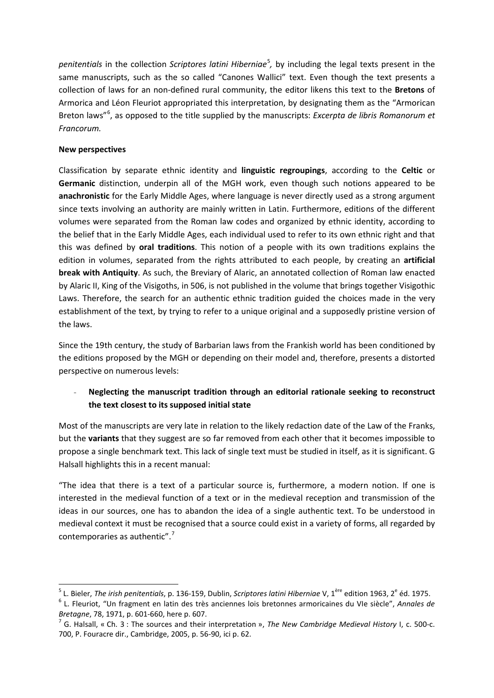penitentials in the collection *Scriptores latini Hiberniae*<sup>[5](#page-2-0)</sup>, by including the legal texts present in the same manuscripts, such as the so called "Canones Wallici" text. Even though the text presents a collection of laws for an non-defined rural community, the editor likens this text to the **Bretons** of Armorica and Léon Fleuriot appropriated this interpretation, by designating them as the "Armorican Breton laws"[6](#page-2-1) , as opposed to the title supplied by the manuscripts: *Excerpta de libris Romanorum et Francorum.*

### **New perspectives**

Classification by separate ethnic identity and **linguistic regroupings**, according to the **Celtic** or **Germanic** distinction, underpin all of the MGH work, even though such notions appeared to be **anachronistic** for the Early Middle Ages, where language is never directly used as a strong argument since texts involving an authority are mainly written in Latin. Furthermore, editions of the different volumes were separated from the Roman law codes and organized by ethnic identity, according to the belief that in the Early Middle Ages, each individual used to refer to its own ethnic right and that this was defined by **oral traditions**. This notion of a people with its own traditions explains the edition in volumes, separated from the rights attributed to each people, by creating an **artificial break with Antiquity**. As such, the Breviary of Alaric, an annotated collection of Roman law enacted by Alaric II, King of the Visigoths, in 506, is not published in the volume that brings together Visigothic Laws. Therefore, the search for an authentic ethnic tradition guided the choices made in the very establishment of the text, by trying to refer to a unique original and a supposedly pristine version of the laws.

Since the 19th century, the study of Barbarian laws from the Frankish world has been conditioned by the editions proposed by the MGH or depending on their model and, therefore, presents a distorted perspective on numerous levels:

## - **Neglecting the manuscript tradition through an editorial rationale seeking to reconstruct the text closest to its supposed initial state**

Most of the manuscripts are very late in relation to the likely redaction date of the Law of the Franks, but the **variants** that they suggest are so far removed from each other that it becomes impossible to propose a single benchmark text. This lack of single text must be studied in itself, as it is significant. G Halsall highlights this in a recent manual:

"The idea that there is a text of a particular source is, furthermore, a modern notion. If one is interested in the medieval function of a text or in the medieval reception and transmission of the ideas in our sources, one has to abandon the idea of a single authentic text. To be understood in medieval context it must be recognised that a source could exist in a variety of forms, all regarded by contemporaries as authentic".<sup>[7](#page-2-2)</sup>

<span id="page-2-0"></span><sup>&</sup>lt;sup>5</sup> L. Bieler, *The irish penitentials*, p. 136-159, Dublin, *Scriptores latini Hiberniae* V, 1<sup>ère</sup> edition 1963, 2<sup>e</sup> éd. 1975.<br><sup>6</sup> L. Fleuriot, "Un fragment en latin des très anciennes lois bretonnes armoricaines du VI

<span id="page-2-1"></span>*Bretagne*, 78, 1971, p. 601-660, here p. 607.<br><sup>7</sup> G. Halsall, « Ch. 3 : The sources and their interpretation », *The New Cambridge Medieval History* I, c. 500-c.

<span id="page-2-2"></span><sup>700,</sup> P. Fouracre dir., Cambridge, 2005, p. 56-90, ici p. 62.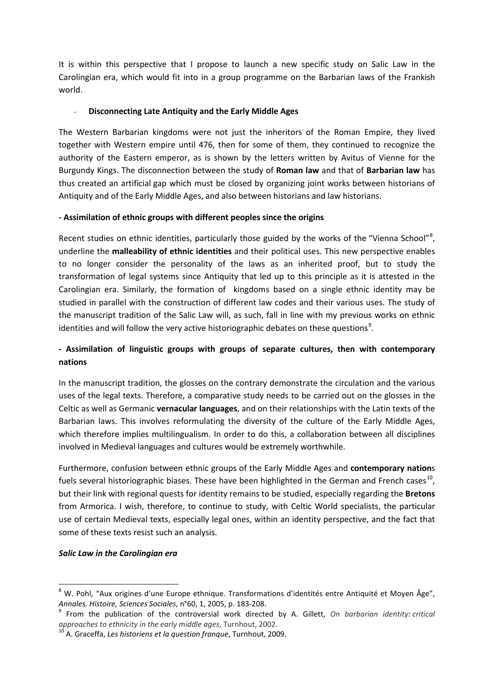It is within this perspective that I propose to launch a new specific study on Salic Law in the Carolingian era, which would fit into in a group programme on the Barbarian laws of the Frankish world.

### - **Disconnecting Late Antiquity and the Early Middle Ages**

The Western Barbarian kingdoms were not just the inheritors of the Roman Empire, they lived together with Western empire until 476, then for some of them, they continued to recognize the authority of the Eastern emperor, as is shown by the letters written by Avitus of Vienne for the Burgundy Kings. The disconnection between the study of **Roman law** and that of **Barbarian law** has thus created an artificial gap which must be closed by organizing joint works between historians of Antiquity and of the Early Middle Ages, and also between historians and law historians.

### **- Assimilation of ethnic groups with different peoples since the origins**

Recent studies on ethnic identities, particularly those guided by the works of the "Vienna School"<sup>[8](#page-3-0)</sup>, underline the **malleability of ethnic identities** and their political uses. This new perspective enables to no longer consider the personality of the laws as an inherited proof, but to study the transformation of legal systems since Antiquity that led up to this principle as it is attested in the Carolingian era. Similarly, the formation of kingdoms based on a single ethnic identity may be studied in parallel with the construction of different law codes and their various uses. The study of the manuscript tradition of the Salic Law will, as such, fall in line with my previous works on ethnic identities and will follow the very active historiographic debates on these questions<sup>[9](#page-3-1)</sup>.

# **- Assimilation of linguistic groups with groups of separate cultures, then with contemporary nations**

In the manuscript tradition, the glosses on the contrary demonstrate the circulation and the various uses of the legal texts. Therefore, a comparative study needs to be carried out on the glosses in the Celtic as well as Germanic **vernacular languages**, and on their relationships with the Latin texts of the Barbarian laws. This involves reformulating the diversity of the culture of the Early Middle Ages, which therefore implies multilingualism. In order to do this, a collaboration between all disciplines involved in Medieval languages and cultures would be extremely worthwhile.

Furthermore, confusion between ethnic groups of the Early Middle Ages and **contemporary nation**s fuels several historiographic biases. These have been highlighted in the German and French cases<sup>10</sup>, but their link with regional quests for identity remains to be studied, especially regarding the **Bretons** from Armorica. I wish, therefore, to continue to study, with Celtic World specialists, the particular use of certain Medieval texts, especially legal ones, within an identity perspective, and the fact that some of these texts resist such an analysis.

### *Salic Law in the Carolingian era*

<span id="page-3-0"></span> <sup>8</sup> W. Pohl, "Aux origines d'une Europe ethnique. Transformations d'identités entre Antiquité et Moyen Âge",

<span id="page-3-1"></span>*Annales. Histoire, Sciences Sociales,* n°60, 1, 2005, p. 183-208.<br><sup>9</sup> From the publication of the controversial work directed by A. Gillett, *On barbarian identity: critical approaches to ethnicity in the early middle age* 

<span id="page-3-2"></span>*approaches to ethnicity in the early middle ages*, Turnhout, 2002. <sup>10</sup> A. Graceffa, *Les historiens et la question franque*, Turnhout, 2009.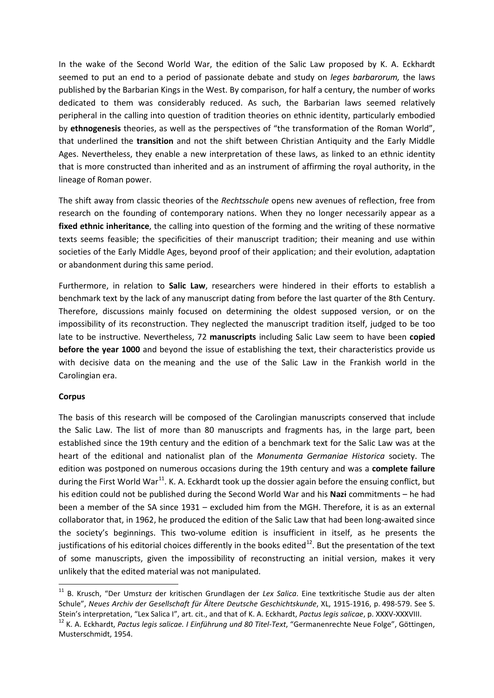In the wake of the Second World War, the edition of the Salic Law proposed by K. A. Eckhardt seemed to put an end to a period of passionate debate and study on *leges barbarorum,* the laws published by the Barbarian Kings in the West. By comparison, for half a century, the number of works dedicated to them was considerably reduced. As such, the Barbarian laws seemed relatively peripheral in the calling into question of tradition theories on ethnic identity, particularly embodied by **ethnogenesis** theories, as well as the perspectives of "the transformation of the Roman World", that underlined the **transition** and not the shift between Christian Antiquity and the Early Middle Ages. Nevertheless, they enable a new interpretation of these laws, as linked to an ethnic identity that is more constructed than inherited and as an instrument of affirming the royal authority, in the lineage of Roman power.

The shift away from classic theories of the *Rechtsschule* opens new avenues of reflection, free from research on the founding of contemporary nations. When they no longer necessarily appear as a **fixed ethnic inheritance**, the calling into question of the forming and the writing of these normative texts seems feasible; the specificities of their manuscript tradition; their meaning and use within societies of the Early Middle Ages, beyond proof of their application; and their evolution, adaptation or abandonment during this same period.

Furthermore, in relation to **Salic Law**, researchers were hindered in their efforts to establish a benchmark text by the lack of any manuscript dating from before the last quarter of the 8th Century. Therefore, discussions mainly focused on determining the oldest supposed version, or on the impossibility of its reconstruction. They neglected the manuscript tradition itself, judged to be too late to be instructive. Nevertheless, 72 **manuscripts** including Salic Law seem to have been **copied before the year 1000** and beyond the issue of establishing the text, their characteristics provide us with decisive data on the meaning and the use of the Salic Law in the Frankish world in the Carolingian era.

#### **Corpus**

The basis of this research will be composed of the Carolingian manuscripts conserved that include the Salic Law. The list of more than 80 manuscripts and fragments has, in the large part, been established since the 19th century and the edition of a benchmark text for the Salic Law was at the heart of the editional and nationalist plan of the *Monumenta Germaniae Historica* society. The edition was postponed on numerous occasions during the 19th century and was a **complete failure** during the First World War<sup>[11](#page-4-0)</sup>. K. A. Eckhardt took up the dossier again before the ensuing conflict, but his edition could not be published during the Second World War and his **Nazi** commitments – he had been a member of the SA since 1931 – excluded him from the MGH. Therefore, it is as an external collaborator that, in 1962, he produced the edition of the Salic Law that had been long-awaited since the society's beginnings. This two-volume edition is insufficient in itself, as he presents the justifications of his editorial choices differently in the books edited<sup>[12](#page-4-1)</sup>. But the presentation of the text of some manuscripts, given the impossibility of reconstructing an initial version, makes it very unlikely that the edited material was not manipulated.

<span id="page-4-0"></span> <sup>11</sup> B. Krusch, "Der Umsturz der kritischen Grundlagen der *Lex Salica*. Eine textkritische Studie aus der alten Schule", *Neues Archiv der Gesellschaft für Ältere Deutsche Geschichtskunde*, XL, 1915-1916, p. 498-579. See S.<br>Stein's interpretation, "Lex Salica I", art. cit., and that of K. A. Eckhardt, Pactus legis salicae, p. XXXV-X

<span id="page-4-1"></span><sup>&</sup>lt;sup>12</sup> K. A. Eckhardt, Pactus legis salicae. I Einführung und 80 Titel-Text, "Germanenrechte Neue Folge", Göttingen, Musterschmidt, 1954.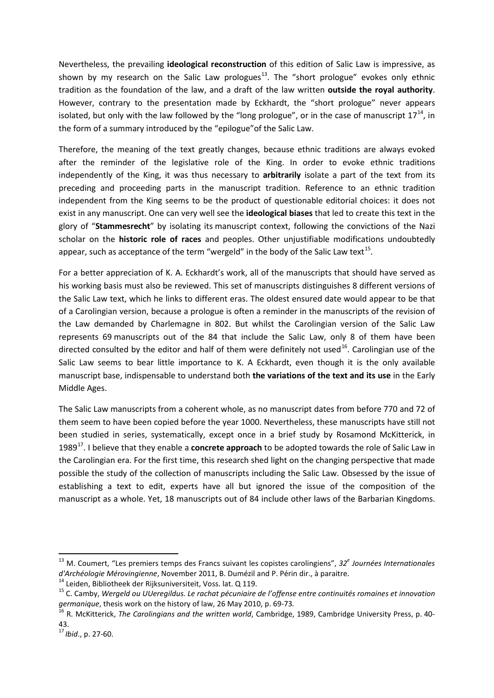Nevertheless, the prevailing **ideological reconstruction** of this edition of Salic Law is impressive, as shown by my research on the Salic Law prologues<sup>[13](#page-5-0)</sup>. The "short prologue" evokes only ethnic tradition as the foundation of the law, and a draft of the law written **outside the royal authority**. However, contrary to the presentation made by Eckhardt, the "short prologue" never appears isolated, but only with the law followed by the "long prologue", or in the case of manuscript  $17^{14}$  $17^{14}$  $17^{14}$ , in the form of a summary introduced by the "epilogue"of the Salic Law.

Therefore, the meaning of the text greatly changes, because ethnic traditions are always evoked after the reminder of the legislative role of the King. In order to evoke ethnic traditions independently of the King, it was thus necessary to **arbitrarily** isolate a part of the text from its preceding and proceeding parts in the manuscript tradition. Reference to an ethnic tradition independent from the King seems to be the product of questionable editorial choices: it does not exist in any manuscript. One can very well see the **ideological biases** that led to create this text in the glory of "**Stammesrecht**" by isolating its manuscript context, following the convictions of the Nazi scholar on the **historic role of races** and peoples. Other unjustifiable modifications undoubtedly appear, such as acceptance of the term "wergeld" in the body of the Salic Law text<sup>15</sup>.

For a better appreciation of K. A. Eckhardt's work, all of the manuscripts that should have served as his working basis must also be reviewed. This set of manuscripts distinguishes 8 different versions of the Salic Law text, which he links to different eras. The oldest ensured date would appear to be that of a Carolingian version, because a prologue is often a reminder in the manuscripts of the revision of the Law demanded by Charlemagne in 802. But whilst the Carolingian version of the Salic Law represents 69 manuscripts out of the 84 that include the Salic Law, only 8 of them have been directed consulted by the editor and half of them were definitely not used<sup>16</sup>. Carolingian use of the Salic Law seems to bear little importance to K. A Eckhardt, even though it is the only available manuscript base, indispensable to understand both **the variations of the text and its use** in the Early Middle Ages.

The Salic Law manuscripts from a coherent whole, as no manuscript dates from before 770 and 72 of them seem to have been copied before the year 1000. Nevertheless, these manuscripts have still not been studied in series, systematically, except once in a brief study by Rosamond McKitterick, in 1989[17.](#page-5-4) I believe that they enable a **concrete approach** to be adopted towards the role of Salic Law in the Carolingian era. For the first time, this research shed light on the changing perspective that made possible the study of the collection of manuscripts including the Salic Law. Obsessed by the issue of establishing a text to edit, experts have all but ignored the issue of the composition of the manuscript as a whole. Yet, 18 manuscripts out of 84 include other laws of the Barbarian Kingdoms.

<span id="page-5-0"></span><sup>&</sup>lt;sup>13</sup> M. Coumert, "Les premiers temps des Francs suivant les copistes carolingiens", 32<sup>e</sup> Journées Internationales d'Archéologie Mérovingienne, November 2011, B. Dumézil and P. Périn dir., à paraitre.<br><sup>14</sup> Leiden, Bibliotheek der Rijksuniversiteit, Voss. lat. Q 119.<br><sup>15</sup> C. Camby, Wergeld ou UUeregildus. Le rachat pécuniaire de l'offen

<span id="page-5-1"></span>

<span id="page-5-2"></span>*germanique*, thesis work on the history of law, 26 May 2010, p. 69-73.<br><sup>16</sup> R. McKitterick, *The Carolingians and the written world*, Cambridge, 1989, Cambridge University Press, p. 40-

<span id="page-5-3"></span><sup>43.</sup>

<span id="page-5-4"></span><sup>17</sup> *Ibid*., p. 27-60.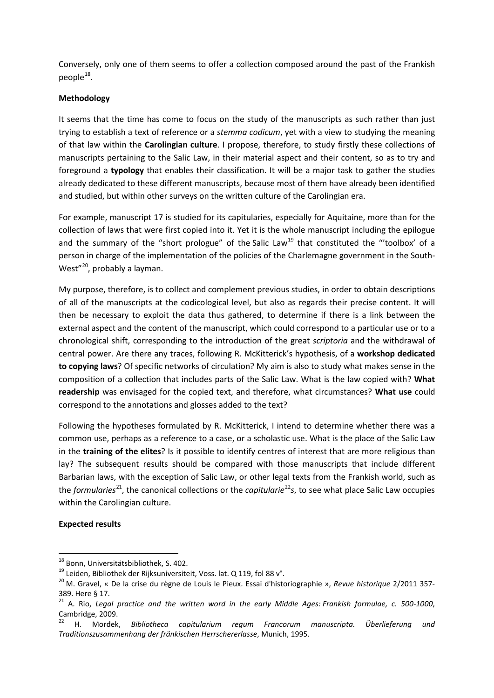Conversely, only one of them seems to offer a collection composed around the past of the Frankish people $^{18}$  $^{18}$  $^{18}$ .

### **Methodology**

It seems that the time has come to focus on the study of the manuscripts as such rather than just trying to establish a text of reference or a *stemma codicum*, yet with a view to studying the meaning of that law within the **Carolingian culture**. I propose, therefore, to study firstly these collections of manuscripts pertaining to the Salic Law, in their material aspect and their content, so as to try and foreground a **typology** that enables their classification. It will be a major task to gather the studies already dedicated to these different manuscripts, because most of them have already been identified and studied, but within other surveys on the written culture of the Carolingian era.

For example, manuscript 17 is studied for its capitularies, especially for Aquitaine, more than for the collection of laws that were first copied into it. Yet it is the whole manuscript including the epilogue and the summary of the "short prologue" of the Salic Law<sup>[19](#page-6-1)</sup> that constituted the "'toolbox' of a person in charge of the implementation of the policies of the Charlemagne government in the South-West"<sup>[20](#page-6-2)</sup>, probably a layman.

My purpose, therefore, is to collect and complement previous studies, in order to obtain descriptions of all of the manuscripts at the codicological level, but also as regards their precise content. It will then be necessary to exploit the data thus gathered, to determine if there is a link between the external aspect and the content of the manuscript, which could correspond to a particular use or to a chronological shift, corresponding to the introduction of the great *scriptoria* and the withdrawal of central power. Are there any traces, following R. McKitterick's hypothesis, of a **workshop dedicated to copying laws**? Of specific networks of circulation? My aim is also to study what makes sense in the composition of a collection that includes parts of the Salic Law. What is the law copied with? **What readership** was envisaged for the copied text, and therefore, what circumstances? **What use** could correspond to the annotations and glosses added to the text?

Following the hypotheses formulated by R. McKitterick, I intend to determine whether there was a common use, perhaps as a reference to a case, or a scholastic use. What is the place of the Salic Law in the **training of the elites**? Is it possible to identify centres of interest that are more religious than lay? The subsequent results should be compared with those manuscripts that include different Barbarian laws, with the exception of Salic Law, or other legal texts from the Frankish world, such as the *formularies*<sup>[21](#page-6-3)</sup>, the canonical collections or the *capitularie*<sup>[22](#page-6-4)</sup>*s*, to see what place Salic Law occupies within the Carolingian culture.

#### **Expected results**

<span id="page-6-1"></span>

<span id="page-6-0"></span><sup>&</sup>lt;sup>18</sup> Bonn, Universitätsbibliothek, S. 402.<br><sup>19</sup> Leiden, Bibliothek der Rijksuniversiteit, Voss. lat. Q 119, fol 88 v°.<br><sup>20</sup> M. Gravel, « De la crise du règne de Louis le Pieux. Essai d'historiographie », Revue historique 2

<span id="page-6-3"></span><span id="page-6-2"></span><sup>389.</sup> Here § 17.<br><sup>21</sup> A. Rio, *Legal practice and the written word in the early Middle Ages: Frankish formulae, c. 500-1000,* Cambridge, 2009.

<span id="page-6-4"></span><sup>22</sup> H. Mordek, *Bibliotheca capitularium regum Francorum manuscripta. Überlieferung und Traditionszusammenhang der fränkischen Herrschererlasse*, Munich, 1995.